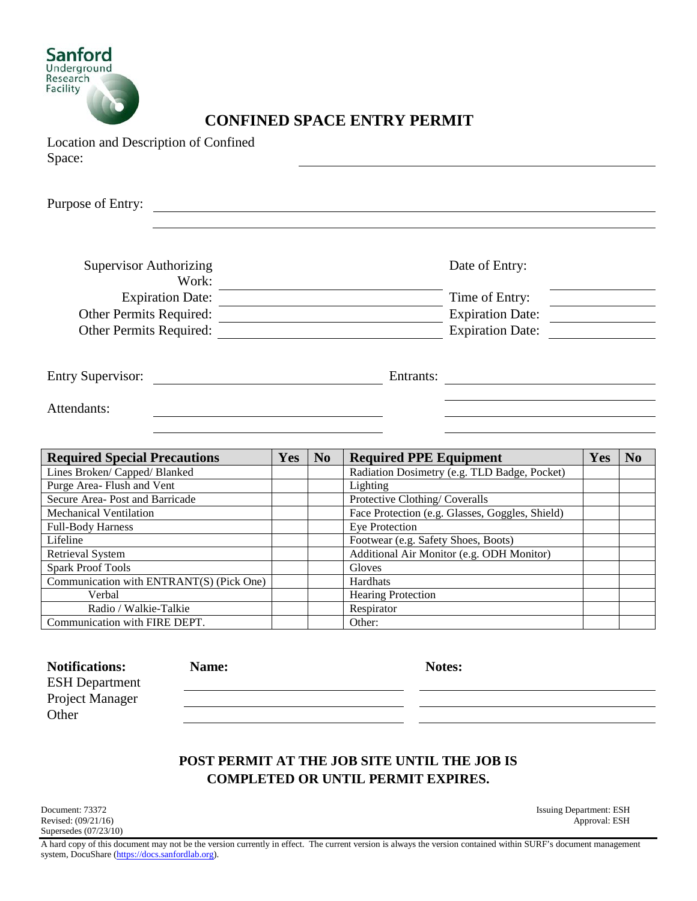

# **CONFINED SPACE ENTRY PERMIT**

Location and Description of Confined Space:

Purpose of Entry:

| Supervisor Authorizing<br>Work: | Date of Entry:          |  |
|---------------------------------|-------------------------|--|
| <b>Expiration Date:</b>         | Time of Entry:          |  |
| Other Permits Required:         | <b>Expiration Date:</b> |  |
| Other Permits Required:         | <b>Expiration Date:</b> |  |
|                                 |                         |  |

Entry Supervisor: Entrants:

Attendants:

| <b>Required Special Precautions</b>      | <b>Yes</b> | N <sub>0</sub> | <b>Required PPE Equipment</b>                   | <b>Yes</b> | $\bf No$ |
|------------------------------------------|------------|----------------|-------------------------------------------------|------------|----------|
| Lines Broken/ Capped/ Blanked            |            |                | Radiation Dosimetry (e.g. TLD Badge, Pocket)    |            |          |
| Purge Area- Flush and Vent               |            |                | Lighting                                        |            |          |
| Secure Area-Post and Barricade           |            |                | Protective Clothing/Coveralls                   |            |          |
| <b>Mechanical Ventilation</b>            |            |                | Face Protection (e.g. Glasses, Goggles, Shield) |            |          |
| <b>Full-Body Harness</b>                 |            |                | <b>Eye Protection</b>                           |            |          |
| Lifeline                                 |            |                | Footwear (e.g. Safety Shoes, Boots)             |            |          |
| Retrieval System                         |            |                | Additional Air Monitor (e.g. ODH Monitor)       |            |          |
| <b>Spark Proof Tools</b>                 |            |                | Gloves                                          |            |          |
| Communication with ENTRANT(S) (Pick One) |            |                | Hardhats                                        |            |          |
| Verbal                                   |            |                | <b>Hearing Protection</b>                       |            |          |
| Radio / Walkie-Talkie                    |            |                | Respirator                                      |            |          |
| Communication with FIRE DEPT.            |            |                | Other:                                          |            |          |

| <b>Notifications:</b><br><b>ESH</b> Department | Name: | <b>Notes:</b> |
|------------------------------------------------|-------|---------------|
| <b>Project Manager</b>                         |       |               |
| Other                                          |       |               |

#### **POST PERMIT AT THE JOB SITE UNTIL THE JOB IS COMPLETED OR UNTIL PERMIT EXPIRES.**

Revised:  $(09/21/16)$ Supersedes (07/23/10)

Document: 73372 Issuing Department: ESH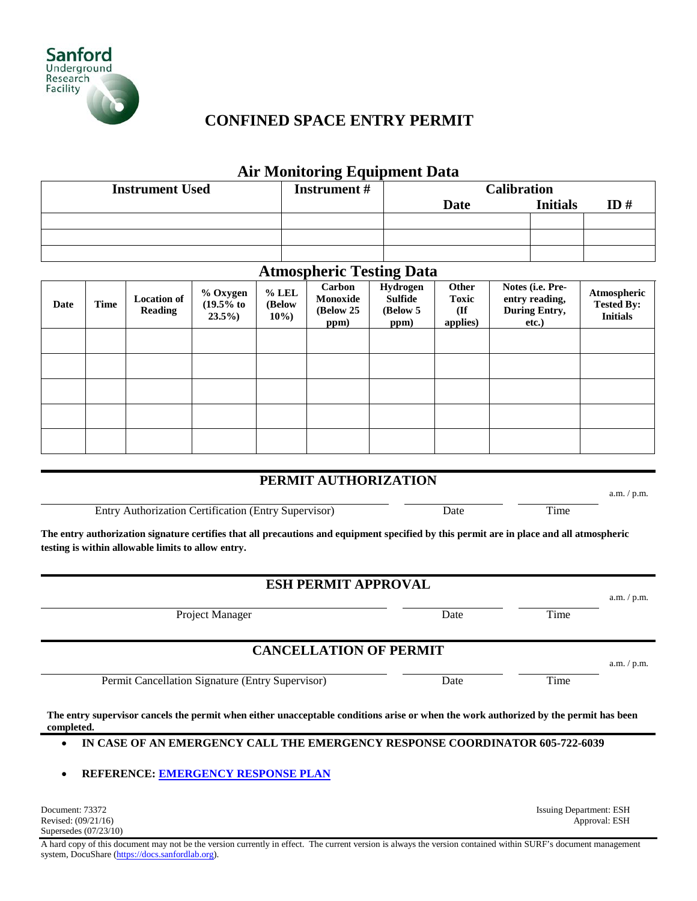

# **CONFINED SPACE ENTRY PERMIT**

### **Air Monitoring Equipment Data**

| <b>Instrument Used</b> | <b>Instrument</b> # | <b>Calibration</b> |                 |     |
|------------------------|---------------------|--------------------|-----------------|-----|
|                        |                     | <b>Date</b>        | <b>Initials</b> | ID# |
|                        |                     |                    |                 |     |
|                        |                     |                    |                 |     |
|                        |                     |                    |                 |     |

### **Atmospheric Testing Data**

| <b>Date</b> | <b>Time</b> | <b>Location of</b><br><b>Reading</b> | % Oxygen<br>$(19.5%$ to<br>$23.5\%$ | $\%$ LEL<br>(Below<br>$10\%$ ) | Carbon<br>Monoxide<br>(Below 25)<br>ppm) | $\circ$<br>Hydrogen<br><b>Sulfide</b><br>(Below 5)<br>ppm) | Other<br>Toxic<br>(If<br>applies) | Notes (i.e. Pre-<br>entry reading,<br>During Entry,<br>etc.) | Atmospheric<br><b>Tested By:</b><br><b>Initials</b> |
|-------------|-------------|--------------------------------------|-------------------------------------|--------------------------------|------------------------------------------|------------------------------------------------------------|-----------------------------------|--------------------------------------------------------------|-----------------------------------------------------|
|             |             |                                      |                                     |                                |                                          |                                                            |                                   |                                                              |                                                     |
|             |             |                                      |                                     |                                |                                          |                                                            |                                   |                                                              |                                                     |
|             |             |                                      |                                     |                                |                                          |                                                            |                                   |                                                              |                                                     |
|             |             |                                      |                                     |                                |                                          |                                                            |                                   |                                                              |                                                     |
|             |             |                                      |                                     |                                |                                          |                                                            |                                   |                                                              |                                                     |

#### **PERMIT AUTHORIZATION**

Entry Authorization Certification (Entry Supervisor) Date Date Time

**The entry authorization signature certifies that all precautions and equipment specified by this permit are in place and all atmospheric testing is within allowable limits to allow entry.**

| <b>ESH PERMIT APPROVAL</b>                                                                                                                         |      |                         |             |  |  |  |
|----------------------------------------------------------------------------------------------------------------------------------------------------|------|-------------------------|-------------|--|--|--|
| Project Manager                                                                                                                                    | Date | Time                    | a.m. / p.m. |  |  |  |
| <b>CANCELLATION OF PERMIT</b>                                                                                                                      |      |                         |             |  |  |  |
| Permit Cancellation Signature (Entry Supervisor)                                                                                                   | Date | Time                    | a.m. / p.m. |  |  |  |
| The entry supervisor cancels the permit when either unacceptable conditions arise or when the work authorized by the permit has been<br>completed. |      |                         |             |  |  |  |
| IN CASE OF AN EMERGENCY CALL THE EMERGENCY RESPONSE COORDINATOR 605-722-6039<br>$\bullet$                                                          |      |                         |             |  |  |  |
| <b>REFERENCE: EMERGENCY RESPONSE PLAN</b>                                                                                                          |      |                         |             |  |  |  |
| Document: 73372                                                                                                                                    |      | Issuing Department: ESH |             |  |  |  |

Supersedes (07/23/10)

 $\frac{1}{2}$  Revised: (09/21/16)  $\frac{1}{2}$  Approval: ESH

a.m. / p.m.

A hard copy of this document may not be the version currently in effect. The current version is always the version contained within SURF's document management system, DocuShare [\(https://docs.sanfordlab.org\)](https://docs.sanfordlab.org/).